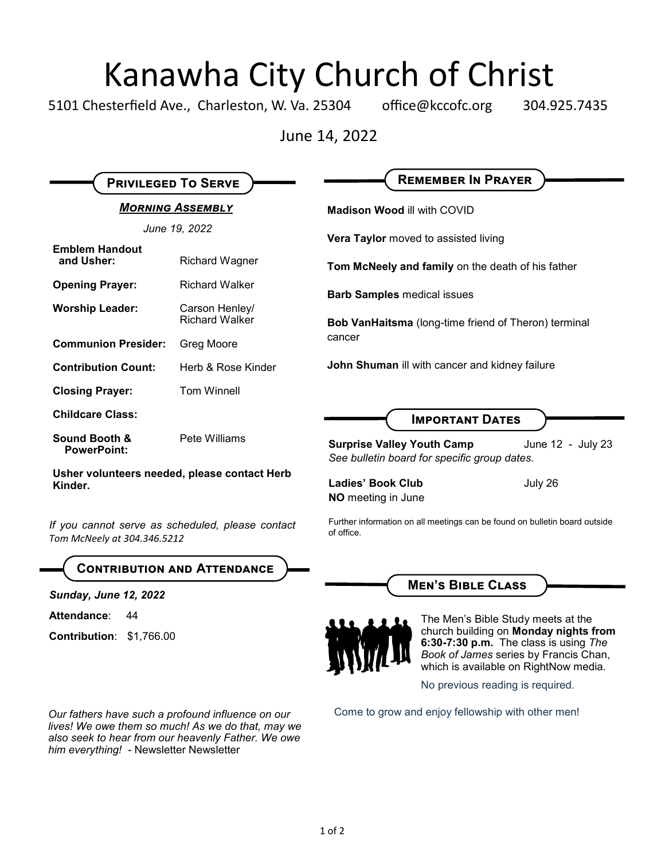# Kanawha City Church of Christ

5101 Chesterfield Ave., Charleston, W. Va. 25304 office@kccofc.org 304.925.7435

June 14, 2022

|                                                                                 |                                         | <b>REMEMBER IN PRAYER</b>                                                                                                                                        |
|---------------------------------------------------------------------------------|-----------------------------------------|------------------------------------------------------------------------------------------------------------------------------------------------------------------|
| <b>PRIVILEGED TO SERVE</b>                                                      |                                         |                                                                                                                                                                  |
| <b>MORNING ASSEMBLY</b>                                                         |                                         | <b>Madison Wood ill with COVID</b>                                                                                                                               |
| June 19, 2022                                                                   |                                         | Vera Taylor moved to assisted living                                                                                                                             |
| <b>Emblem Handout</b><br>and Usher:                                             | <b>Richard Wagner</b>                   | Tom McNeely and family on the death of his father                                                                                                                |
| <b>Opening Prayer:</b>                                                          | <b>Richard Walker</b>                   | <b>Barb Samples medical issues</b>                                                                                                                               |
| <b>Worship Leader:</b>                                                          | Carson Henley/<br><b>Richard Walker</b> | Bob VanHaitsma (long-time friend of Theron) terminal<br>cancer                                                                                                   |
| <b>Communion Presider:</b>                                                      | Greg Moore                              |                                                                                                                                                                  |
| <b>Contribution Count:</b>                                                      | Herb & Rose Kinder                      | John Shuman ill with cancer and kidney failure                                                                                                                   |
| <b>Closing Prayer:</b>                                                          | <b>Tom Winnell</b>                      |                                                                                                                                                                  |
| <b>Childcare Class:</b>                                                         |                                         | <b>IMPORTANT DATES</b>                                                                                                                                           |
| Sound Booth &<br><b>PowerPoint:</b>                                             | Pete Williams                           | <b>Surprise Valley Youth Camp</b><br>June 12 - July 23<br>See bulletin board for specific group dates.                                                           |
| Usher volunteers needed, please contact Herb<br>Kinder.                         |                                         | <b>Ladies' Book Club</b><br>July 26<br><b>NO</b> meeting in June                                                                                                 |
| If you cannot serve as scheduled, please contact<br>Tom McNeely at 304.346.5212 |                                         | Further information on all meetings can be found on bulletin board outside<br>of office.                                                                         |
|                                                                                 | <b>CONTRIBUTION AND ATTENDANCE</b>      |                                                                                                                                                                  |
| <b>Sunday, June 12, 2022</b>                                                    |                                         | <b>MEN'S BIBLE CLASS</b>                                                                                                                                         |
| Attendance:<br>44                                                               |                                         | The Men's Bible Study meets at the                                                                                                                               |
| Contribution: \$1,766.00                                                        |                                         | church building on Monday nights from<br>6:30-7:30 p.m. The class is using The<br>Book of James series by Francis Chan,<br>which is available on RightNow media. |
|                                                                                 |                                         | No previous reading is required.                                                                                                                                 |
|                                                                                 |                                         |                                                                                                                                                                  |

Our fathers have such a profound influence on our Come to grow and enjoy fellowship with other men! *lives! We owe them so much! As we do that, may we also seek to hear from our heavenly Father. We owe him everything! -* Newsletter Newsletter